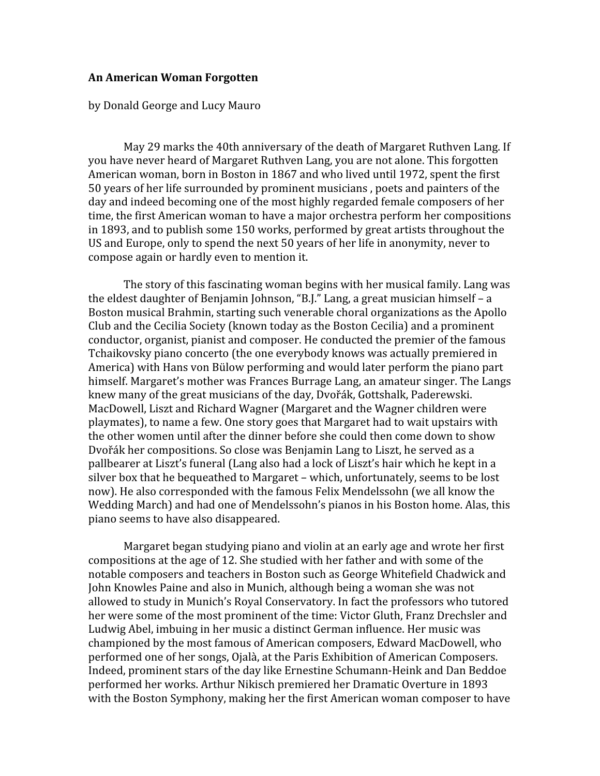## **An
American
Woman
Forgotten**

by
Donald
George
and
Lucy
Mauro

May 29 marks the 40th anniversary of the death of Margaret Ruthyen Lang. If you have never heard of Margaret Ruthven Lang, you are not alone. This forgotten American woman, born in Boston in 1867 and who lived until 1972, spent the first 50
years
of
her
life
surrounded
by
prominent
musicians
,
poets
and
painters
of
the day and indeed becoming one of the most highly regarded female composers of her time,
the
first
American
woman
to
have
a
major
orchestra
perform
her
compositions in
1893,
and
to
publish
some
150
works,
performed
by
great
artists
throughout
the US and Europe, only to spend the next 50 years of her life in anonymity, never to compose
again
or
hardly
even
to
mention
it.

The story of this fascinating woman begins with her musical family. Lang was the eldest daughter of Benjamin Johnson, "B.J." Lang, a great musician himself – a Boston
musical
Brahmin,
starting
such
venerable
choral
organizations
as
the
Apollo Club
and
the
Cecilia
Society
(known
today
as
the
Boston
Cecilia)
and
a
prominent conductor,
organist,
pianist
and
composer.
He
conducted
the
premier
of
the
famous Tchaikovsky
piano
concerto
(the
one
everybody
knows
was
actually
premiered
in America)
with
Hans
von
Bülow
performing
and
would
later
perform
the
piano
part himself. Margaret's mother was Frances Burrage Lang, an amateur singer. The Langs knew many of the great musicians of the day, Dyořák, Gottshalk, Paderewski. MacDowell,
Liszt
and
Richard
Wagner
(Margaret
and
the
Wagner
children
were playmates),
to
name
a
few.
One
story
goes
that
Margaret
had
to
wait
upstairs
with the
other
women
until
after
the
dinner
before
she
could
then
come
down
to
show Dvořák her compositions. So close was Benjamin Lang to Liszt, he served as a pallbearer
at
Liszt's
funeral
(Lang
also
had
a
lock
of
Liszt's
hair
which
he
kept
in
a silver
box
that
he
bequeathed
to
Margaret
–
which,
unfortunately,
seems
to
be
lost now).
He
also
corresponded
with
the
famous
Felix
Mendelssohn
(we
all
know
the Wedding March) and had one of Mendelssohn's pianos in his Boston home. Alas, this piano
seems
to
have
also
disappeared.

Margaret began studying piano and violin at an early age and wrote her first compositions
at
the
age
of
12.
She
studied
with
her
father
and
with
some
of
the notable
composers
and
teachers
in
Boston
such
as
George
Whitefield
Chadwick
and John
Knowles
Paine
and
also
in
Munich,
although
being
a
woman
she
was
not allowed
to
study
in
Munich's
Royal
Conservatory.
In
fact
the
professors
who
tutored her were some of the most prominent of the time: Victor Gluth, Franz Drechsler and Ludwig Abel, imbuing in her music a distinct German influence. Her music was championed
by
the
most
famous
of
American
composers,
Edward
MacDowell,
who performed
one
of
her
songs,
Ojalà,
at
the
Paris
Exhibition
of
American
Composers. Indeed,
prominent
stars
of
the
day
like
Ernestine
Schumann‐Heink
and
Dan
Beddoe performed
her
works.
Arthur
Nikisch
premiered
her
Dramatic
Overture
in
1893 with the Boston Symphony, making her the first American woman composer to have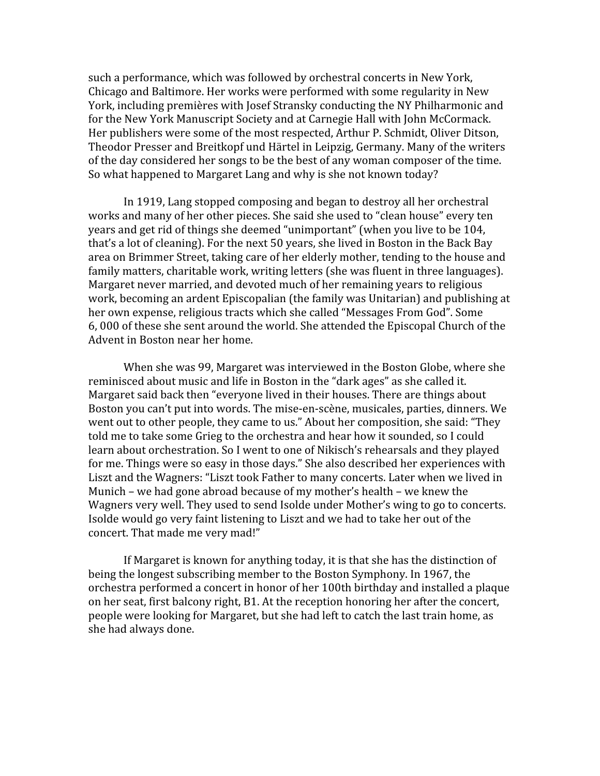such
a
performance,
which
was
followed
by
orchestral
concerts
in
New
York, Chicago
and
Baltimore.
Her
works
were
performed
with
some
regularity
in
New York,
including
premières
with
Josef
Stransky
conducting
the
NY
Philharmonic
and for
the
New
York
Manuscript
Society
and
at
Carnegie
Hall
with
John
McCormack. Her publishers were some of the most respected, Arthur P. Schmidt, Oliver Ditson, Theodor Presser and Breitkopf und Härtel in Leipzig. Germany. Many of the writers of
the
day
considered
her
songs
to
be
the
best
of
any
woman
composer
of
the
time. So
what
happened
to
Margaret
Lang
and
why
is
she
not
known
today?

In
1919,
Lang
stopped
composing
and
began
to
destroy
all
her
orchestral works and many of her other pieces. She said she used to "clean house" every ten years and get rid of things she deemed "unimportant" (when you live to be 104, that's a lot of cleaning). For the next 50 years, she lived in Boston in the Back Bay area
on
Brimmer
Street,
taking
care
of
her
elderly
mother,
tending
to
the
house
and family
matters,
charitable
work,
writing
letters
(she
was
fluent
in
three
languages). Margaret never married, and devoted much of her remaining years to religious work,
becoming
an
ardent
Episcopalian
(the
family
was
Unitarian)
and
publishing
at her
own
expense,
religious
tracts
which
she
called
"Messages
From
God".
Some 6,
000
of
these
she
sent
around
the
world.
She
attended
the
Episcopal
Church
of
the Advent
in
Boston
near
her
home.

When she was 99, Margaret was interviewed in the Boston Globe, where she reminisced
about
music
and
life
in
Boston
in
the
"dark
ages"
as
she
called
it. Margaret said back then "everyone lived in their houses. There are things about Boston you can't put into words. The mise-en-scène, musicales, parties, dinners. We went out to other people, they came to us." About her composition, she said: "They told me to take some Grieg to the orchestra and hear how it sounded, so I could learn
about
orchestration.
So
I
went
to
one
of
Nikisch's
rehearsals
and
they
played for me. Things were so easy in those days." She also described her experiences with Liszt and the Wagners: "Liszt took Father to many concerts. Later when we lived in Munich
–
we
had
gone
abroad
because
of
my
mother's
health
–
we
knew
the Wagners very well. They used to send Isolde under Mother's wing to go to concerts. Isolde would go very faint listening to Liszt and we had to take her out of the concert.
That
made
me
very
mad!"

If Margaret is known for anything today, it is that she has the distinction of being
the
longest
subscribing
member
to
the
Boston
Symphony.
In
1967,
the orchestra
performed
a
concert
in
honor
of
her
100th
birthday
and
installed
a
plaque on
her
seat,
first
balcony
right,
B1.
At
the
reception
honoring
her
after
the
concert, people
were
looking
for
Margaret,
but
she
had
left
to
catch
the
last
train
home,
as she
had
always
done.